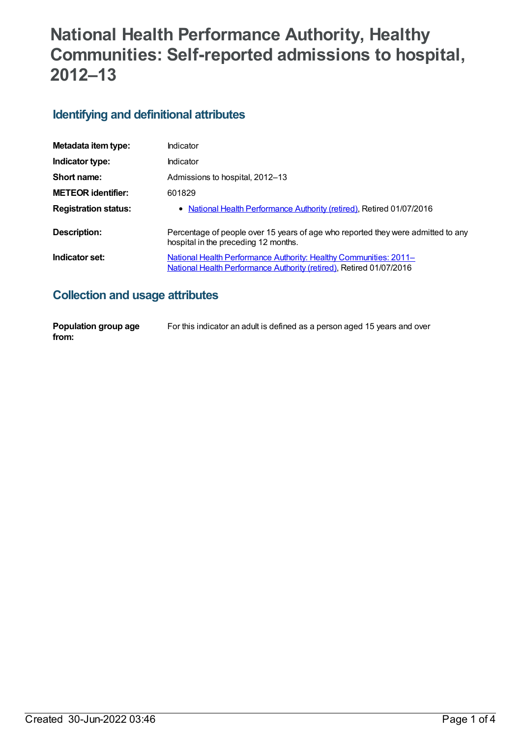# **National Health Performance Authority, Healthy Communities: Self-reported admissions to hospital, 2012–13**

## **Identifying and definitional attributes**

| Metadata item type:         | Indicator                                                                                                                                       |
|-----------------------------|-------------------------------------------------------------------------------------------------------------------------------------------------|
| Indicator type:             | Indicator                                                                                                                                       |
| Short name:                 | Admissions to hospital, 2012–13                                                                                                                 |
| <b>METEOR identifier:</b>   | 601829                                                                                                                                          |
| <b>Registration status:</b> | • National Health Performance Authority (retired), Retired 01/07/2016                                                                           |
| Description:                | Percentage of people over 15 years of age who reported they were admitted to any<br>hospital in the preceding 12 months.                        |
| Indicator set:              | <u>National Health Performance Authority: Healthy Communities: 2011–</u><br>National Health Performance Authority (retired), Retired 01/07/2016 |

## **Collection and usage attributes**

| Population group age | For this indicator an adult is defined as a person aged 15 years and over |
|----------------------|---------------------------------------------------------------------------|
| from:                |                                                                           |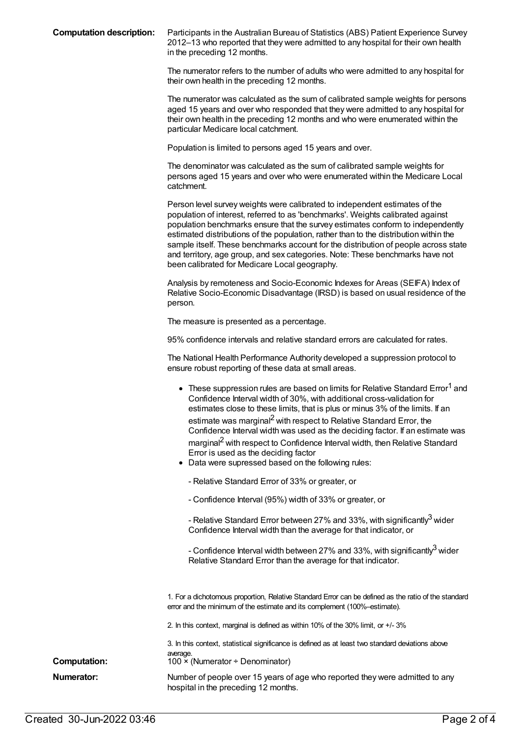**Computation description:** Participants in the Australian Bureau of Statistics (ABS) Patient Experience Survey 2012–13 who reported that they were admitted to any hospital for their own health in the preceding 12 months.

> The numerator refers to the number of adults who were admitted to any hospital for their own health in the preceding 12 months.

> The numerator was calculated as the sum of calibrated sample weights for persons aged 15 years and over who responded that they were admitted to any hospital for their own health in the preceding 12 months and who were enumerated within the particular Medicare local catchment.

Population is limited to persons aged 15 years and over.

The denominator was calculated as the sum of calibrated sample weights for persons aged 15 years and over who were enumerated within the Medicare Local catchment.

Person level survey weights were calibrated to independent estimates of the population of interest, referred to as 'benchmarks'. Weights calibrated against population benchmarks ensure that the survey estimates conform to independently estimated distributions of the population, rather than to the distribution within the sample itself. These benchmarks account for the distribution of people across state and territory, age group, and sex categories. Note: These benchmarks have not been calibrated for Medicare Local geography.

Analysis by remoteness and Socio-Economic Indexes for Areas (SEIFA) Index of Relative Socio-Economic Disadvantage (IRSD) is based on usual residence of the person.

The measure is presented as a percentage.

95% confidence intervals and relative standard errors are calculated for rates.

The National Health Performance Authority developed a suppression protocol to ensure robust reporting of these data at small areas.

| • These suppression rules are based on limits for Relative Standard Error <sup>1</sup> and<br>Confidence Interval width of 30%, with additional cross-validation for<br>estimates close to these limits, that is plus or minus 3% of the limits. If an<br>estimate was marginal <sup>2</sup> with respect to Relative Standard Error, the<br>Confidence Interval width was used as the deciding factor. If an estimate was<br>marginal <sup>2</sup> with respect to Confidence Interval width, then Relative Standard<br>Error is used as the deciding factor<br>• Data were supressed based on the following rules: |
|----------------------------------------------------------------------------------------------------------------------------------------------------------------------------------------------------------------------------------------------------------------------------------------------------------------------------------------------------------------------------------------------------------------------------------------------------------------------------------------------------------------------------------------------------------------------------------------------------------------------|
| - Relative Standard Error of 33% or greater, or                                                                                                                                                                                                                                                                                                                                                                                                                                                                                                                                                                      |
| - Confidence Interval (95%) width of 33% or greater, or                                                                                                                                                                                                                                                                                                                                                                                                                                                                                                                                                              |
| - Relative Standard Error between 27% and 33%, with significantly <sup>3</sup> wider<br>Confidence Interval width than the average for that indicator, or                                                                                                                                                                                                                                                                                                                                                                                                                                                            |

- Confidence Interval width between 27% and 33%, with significantly $^3$  wider Relative Standard Error than the average for that indicator.

1. For a dichotomous proportion, Relative Standard Error can be defined as the ratio of the standard error and the minimum of the estimate and its complement (100%–estimate).

2. In this context, marginal is defined as within 10% of the 30% limit, or +/- 3%

3. In this context, statistical significance is defined as at least two standard deviations above average. **Computation:** 100 × (Numerator ÷ Denominator) **Numerator:** Number of people over 15 years of age who reported they were admitted to any hospital in the preceding 12 months.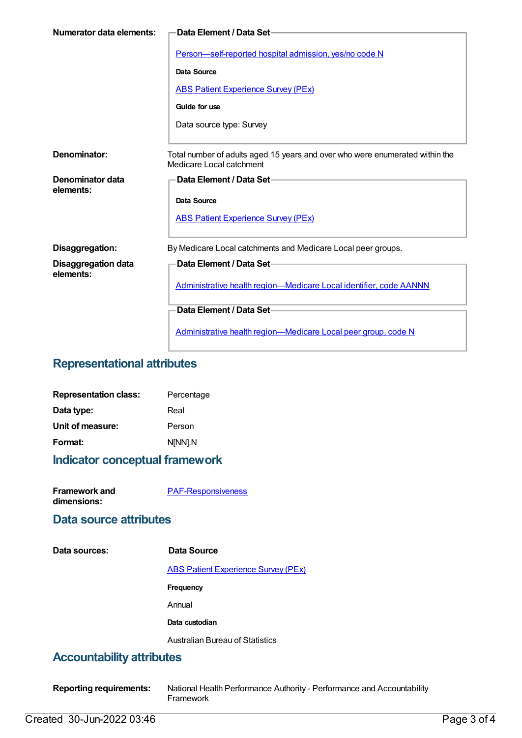| Numerator data elements:                | ·Data Element / Data Set−                                                                                |
|-----------------------------------------|----------------------------------------------------------------------------------------------------------|
|                                         | Person-self-reported hospital admission, yes/no code N                                                   |
|                                         | Data Source                                                                                              |
|                                         | <b>ABS Patient Experience Survey (PEx)</b>                                                               |
|                                         | Guide for use                                                                                            |
|                                         | Data source type: Survey                                                                                 |
|                                         |                                                                                                          |
| Denominator:                            | Total number of adults aged 15 years and over who were enumerated within the<br>Medicare Local catchment |
| Denominator data<br>elements:           | Data Element / Data Set-                                                                                 |
|                                         | Data Source                                                                                              |
|                                         | <b>ABS Patient Experience Survey (PEx)</b>                                                               |
|                                         |                                                                                                          |
| Disaggregation:                         | By Medicare Local catchments and Medicare Local peer groups.                                             |
| <b>Disaggregation data</b><br>elements: | Data Element / Data Set-                                                                                 |
|                                         | Administrative health region-Medicare Local identifier, code AANNN                                       |
|                                         | Data Element / Data Set-                                                                                 |
|                                         | Administrative health region-Medicare Local peer group, code N                                           |

### **Representational attributes**

| <b>Representation class:</b> | Percentage |
|------------------------------|------------|
| Data type:                   | Real       |
| Unit of measure:             | Person     |
| Format:                      | N[NN].N    |

## **Indicator conceptual framework**

**Framework and dimensions:**

[PAF-Responsiveness](https://meteor.aihw.gov.au/content/554933)

#### **Data source attributes**

**Data sources: Data Source**

ABS Patient [Experience](https://meteor.aihw.gov.au/content/394410) Survey (PEx)

**Frequency**

Annual

**Data custodian**

Australian Bureau of Statistics

### **Accountability attributes**